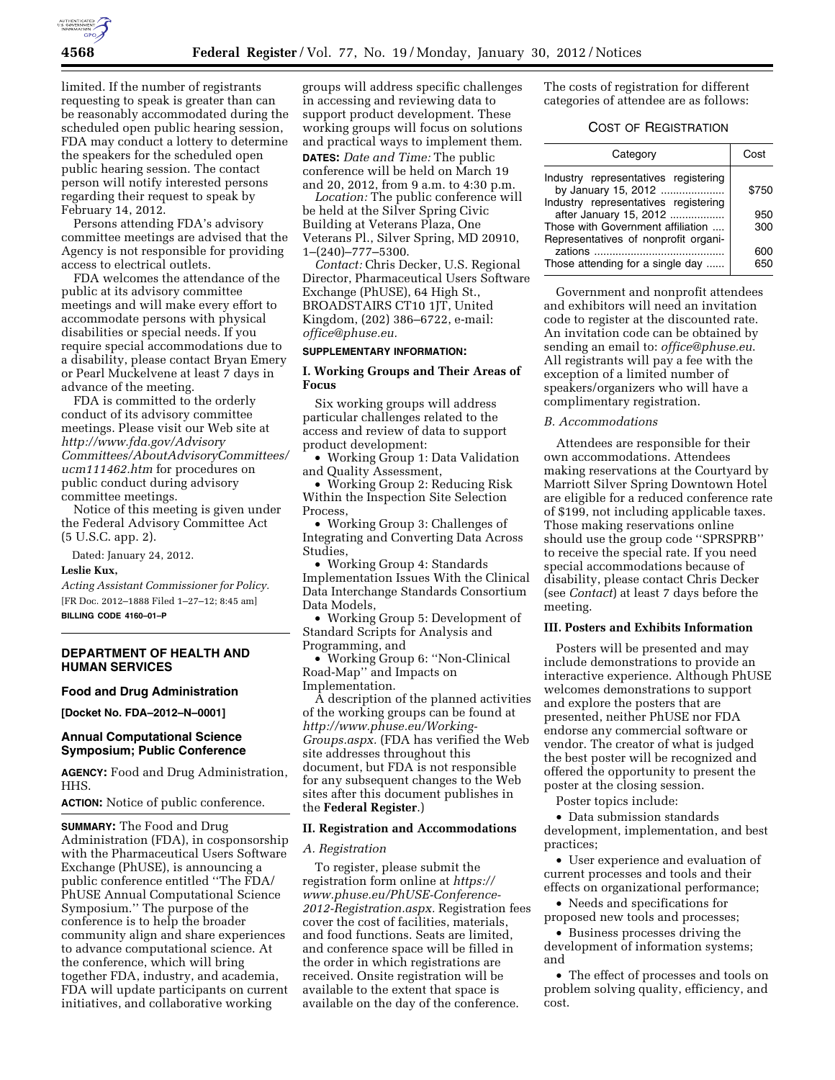

limited. If the number of registrants requesting to speak is greater than can be reasonably accommodated during the scheduled open public hearing session, FDA may conduct a lottery to determine the speakers for the scheduled open public hearing session. The contact person will notify interested persons regarding their request to speak by February 14, 2012.

Persons attending FDA's advisory committee meetings are advised that the Agency is not responsible for providing access to electrical outlets.

FDA welcomes the attendance of the public at its advisory committee meetings and will make every effort to accommodate persons with physical disabilities or special needs. If you require special accommodations due to a disability, please contact Bryan Emery or Pearl Muckelvene at least 7 days in advance of the meeting.

FDA is committed to the orderly conduct of its advisory committee meetings. Please visit our Web site at *[http://www.fda.gov/Advisory](http://www.fda.gov/AdvisoryCommittees/AboutAdvisoryCommittees/ucm111462.htm) [Committees/AboutAdvisoryCommittees/](http://www.fda.gov/AdvisoryCommittees/AboutAdvisoryCommittees/ucm111462.htm) [ucm111462.htm](http://www.fda.gov/AdvisoryCommittees/AboutAdvisoryCommittees/ucm111462.htm)* for procedures on public conduct during advisory committee meetings.

Notice of this meeting is given under the Federal Advisory Committee Act (5 U.S.C. app. 2).

Dated: January 24, 2012.

### **Leslie Kux,**

*Acting Assistant Commissioner for Policy.*  [FR Doc. 2012–1888 Filed 1–27–12; 8:45 am] **BILLING CODE 4160–01–P** 

## **DEPARTMENT OF HEALTH AND HUMAN SERVICES**

#### **Food and Drug Administration**

**[Docket No. FDA–2012–N–0001]** 

### **Annual Computational Science Symposium; Public Conference**

**AGENCY:** Food and Drug Administration, HHS.

**ACTION:** Notice of public conference.

**SUMMARY:** The Food and Drug Administration (FDA), in cosponsorship with the Pharmaceutical Users Software Exchange (PhUSE), is announcing a public conference entitled ''The FDA/ PhUSE Annual Computational Science Symposium.'' The purpose of the conference is to help the broader community align and share experiences to advance computational science. At the conference, which will bring together FDA, industry, and academia, FDA will update participants on current initiatives, and collaborative working

groups will address specific challenges in accessing and reviewing data to support product development. These working groups will focus on solutions and practical ways to implement them. **DATES:** *Date and Time:* The public conference will be held on March 19 and 20, 2012, from 9 a.m. to 4:30 p.m.

*Location:* The public conference will be held at the Silver Spring Civic Building at Veterans Plaza, One Veterans Pl., Silver Spring, MD 20910, 1–(240)–777–5300.

*Contact:* Chris Decker, U.S. Regional Director, Pharmaceutical Users Software Exchange (PhUSE), 64 High St., BROADSTAIRS CT10 1JT, United Kingdom, (202) 386–6722, e-mail: *[office@phuse.eu.](mailto:office@phuse.eu)* 

### **SUPPLEMENTARY INFORMATION:**

# **I. Working Groups and Their Areas of Focus**

Six working groups will address particular challenges related to the access and review of data to support product development:

• Working Group 1: Data Validation and Quality Assessment,

• Working Group 2: Reducing Risk Within the Inspection Site Selection Process,

• Working Group 3: Challenges of Integrating and Converting Data Across Studies,

• Working Group 4: Standards Implementation Issues With the Clinical Data Interchange Standards Consortium Data Models,

• Working Group 5: Development of Standard Scripts for Analysis and Programming, and

• Working Group 6: ''Non-Clinical Road-Map'' and Impacts on Implementation.

A description of the planned activities of the working groups can be found at *[http://www.phuse.eu/Working-](http://www.phuse.eu/Working-Groups.aspx)[Groups.aspx.](http://www.phuse.eu/Working-Groups.aspx)* (FDA has verified the Web site addresses throughout this document, but FDA is not responsible for any subsequent changes to the Web sites after this document publishes in the **Federal Register**.)

### **II. Registration and Accommodations**

### *A. Registration*

To register, please submit the registration form online at *[https://](https://www.phuse.eu/PhUSE-Conference-2012-Registration.aspx)  [www.phuse.eu/PhUSE-Conference-](https://www.phuse.eu/PhUSE-Conference-2012-Registration.aspx)[2012-Registration.aspx.](https://www.phuse.eu/PhUSE-Conference-2012-Registration.aspx)* Registration fees cover the cost of facilities, materials, and food functions. Seats are limited, and conference space will be filled in the order in which registrations are received. Onsite registration will be available to the extent that space is available on the day of the conference.

The costs of registration for different categories of attendee are as follows:

# COST OF REGISTRATION

| Category                                                    | Cost  |
|-------------------------------------------------------------|-------|
| Industry representatives registering<br>by January 15, 2012 | \$750 |
| Industry representatives registering                        |       |
| after January 15, 2012                                      | 950   |
| Those with Government affiliation                           | 300   |
| Representatives of nonprofit organi-                        |       |
|                                                             | 600   |
| Those attending for a single day                            | 650   |

Government and nonprofit attendees and exhibitors will need an invitation code to register at the discounted rate. An invitation code can be obtained by sending an email to: *[office@phuse.eu](mailto:office@phuse.eu)*. All registrants will pay a fee with the exception of a limited number of speakers/organizers who will have a complimentary registration.

#### *B. Accommodations*

Attendees are responsible for their own accommodations. Attendees making reservations at the Courtyard by Marriott Silver Spring Downtown Hotel are eligible for a reduced conference rate of \$199, not including applicable taxes. Those making reservations online should use the group code ''SPRSPRB'' to receive the special rate. If you need special accommodations because of disability, please contact Chris Decker (see *Contact*) at least 7 days before the meeting.

### **III. Posters and Exhibits Information**

Posters will be presented and may include demonstrations to provide an interactive experience. Although PhUSE welcomes demonstrations to support and explore the posters that are presented, neither PhUSE nor FDA endorse any commercial software or vendor. The creator of what is judged the best poster will be recognized and offered the opportunity to present the poster at the closing session.

Poster topics include:

• Data submission standards development, implementation, and best practices;

• User experience and evaluation of current processes and tools and their effects on organizational performance;

• Needs and specifications for proposed new tools and processes;

• Business processes driving the development of information systems; and

• The effect of processes and tools on problem solving quality, efficiency, and cost.